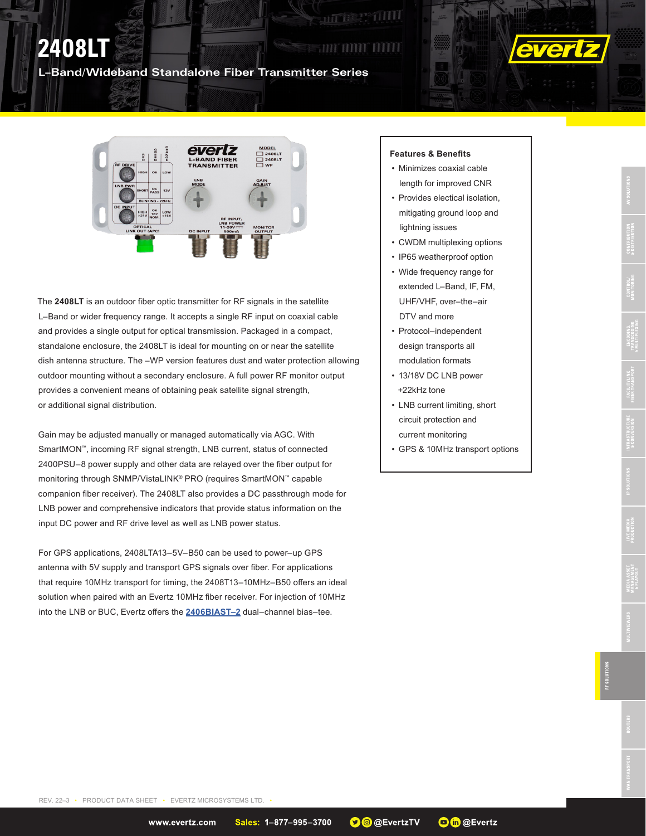## **THILL ULLI**

**ALLES PARTIES** 

### **L–Band/Wideband Standalone Fiber Transmitter Series**



The **2408LT** is an outdoor fiber optic transmitter for RF signals in the satellite L–Band or wider frequency range. It accepts a single RF input on coaxial cable and provides a single output for optical transmission. Packaged in a compact, standalone enclosure, the 2408LT is ideal for mounting on or near the satellite dish antenna structure. The –WP version features dust and water protection allowing outdoor mounting without a secondary enclosure. A full power RF monitor output provides a convenient means of obtaining peak satellite signal strength, or additional signal distribution.

Gain may be adjusted manually or managed automatically via AGC. With SmartMON™, incoming RF signal strength, LNB current, status of connected 2400PSU–8 power supply and other data are relayed over the fiber output for monitoring through SNMP/VistaLINK® PRO (requires SmartMON™ capable companion fiber receiver). The 2408LT also provides a DC passthrough mode for LNB power and comprehensive indicators that provide status information on the input DC power and RF drive level as well as LNB power status.

For GPS applications, 2408LTA13–5V–B50 can be used to power–up GPS antenna with 5V supply and transport GPS signals over fiber. For applications that require 10MHz transport for timing, the 2408T13–10MHz–B50 offers an ideal solution when paired with an Evertz 10MHz fiber receiver. For injection of 10MHz into the LNB or BUC, Evertz offers the **[2406BIAST–2](https://evertz.com/products/2406BIAST-2)** dual–channel bias–tee.

#### **Features & Benefits**

- Minimizes coaxial cable length for improved CNR
- Provides electical isolation, mitigating ground loop and lightning issues
- CWDM multiplexing options
- IP65 weatherproof option
- Wide frequency range for extended L–Band, IF, FM, UHF/VHF, over–the–air DTV and more
- Protocol–independent design transports all modulation formats
- 13/18V DC LNB power +22kHz tone
- LNB current limiting, short circuit protection and current monitoring
- GPS & 10MHz transport options

**Oth @Evertz** 

**O**@ @EvertzTV

REV. 22–3 • PRODUCT DATA SHEET • EVERTZ MICROSYSTEMS LTD.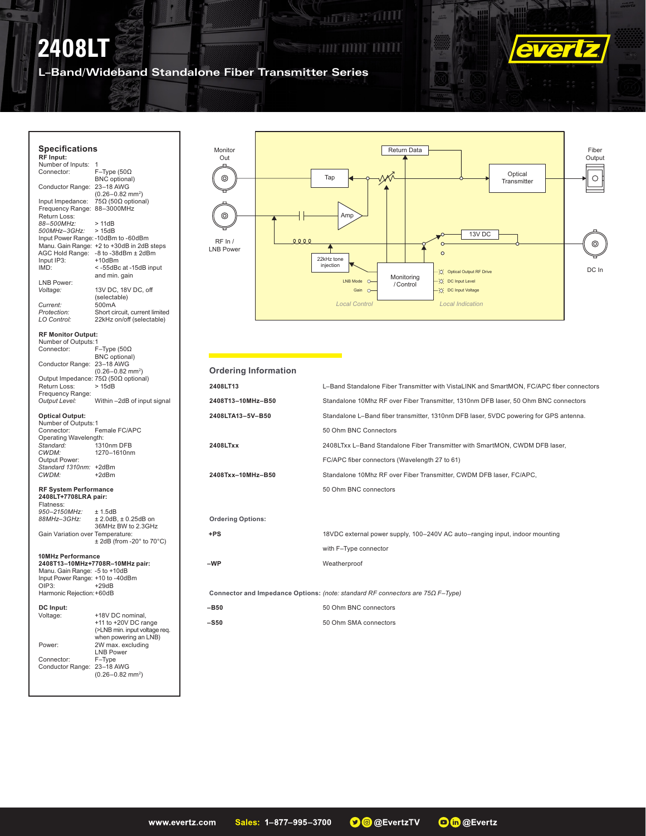# **2408LT**

### **SETION IN THE SET OF THE PAID**

**ALLE SE DILL** 

**L–Band/Wideband Standalone Fiber Transmitter Series**



 $\sum$ 

Milli

**Section** 

Y

#### **Specifications RF Input:** Number of Inputs:<br>Connector: F–Type (50 $\Omega$ BNC optional) Conductor Range: 23–18 AWG (0.26–0.82 mm2 ) Input Impedance: 75Ω (50Ω optional) Frequency Range: 88–3000MHz Return Loss: *88–500MHz:* > 11dB *500MHz–3GHz:* > 15dB Input Power Range: -10dBm to -60dBm Manu. Gain Range: +2 to +30dB in 2dB steps AGC Hold Range: -8 to -38dBm ± 2dBm<br>Input IP3: +10dBm Input IP3:<br>IMD:  $<$  -55dBc at -15dB input and min. gain LNB Power:<br>Voltage: 13V DC, 18V DC, off (selectable)<br>500mA Current:<br>Protection: Protection: Short circuit, current limited<br>
LO Control: 22kHz on/off (selectable) 22kHz on/off (selectable) **RF Monitor Output:** Number of Outputs:1 Connector: F–Type (50Ω BNC optional) Conductor Range: 23–18 AWG (0.26–0.82 mm2 ) Output Impedance: 75Ω (50Ω optional)<br>Return Loss: > 15dB Return Loss: Frequency Range:<br>Output Level: Within –2dB of input signal **Optical Output:** Number of Outputs:1<br>Connector: F Female FC/APC Operating Wavelength:<br>Standard: 131 *Standard:* 1310nm DFB *CWDM:* 1270–1610nm Output Power: *Standard 1310nm:* +2dBm  $CWDM$ **RF System Performance 2408LT+7708LRA pair:** Flatness: *950–2150MHz:* ± 1.5dB *88MHz–3GHz:* ± 2.0dB, ± 0.25dB on 36MHz BW to 2.3GHz Gain Variation over Temperature:  $± 2dB$  (from -20 $^{\circ}$  to 70 $^{\circ}$ C) **10MHz Performance 2408T13–10MHz+7708R–10MHz pair:** Manu. Gain Range: -5 to +10dB Input Power Range: +10 to -40dBm  $+29dB$ Harmonic Rejection:+60dB **DC Input:** Voltage: +18V DC nominal, +11 to +20V DC range (>LNB min. input voltage req. when powering an LNB) Power: 2W max. excluding LNB Power Connector: F–Type Conductor Range: 23–18 AWG (0.26–0.82 mm2 )



| <b>Ordering Information</b>                                                           |                                                                                          |
|---------------------------------------------------------------------------------------|------------------------------------------------------------------------------------------|
| 2408LT13                                                                              | L-Band Standalone Fiber Transmitter with VistaLINK and SmartMON, FC/APC fiber connectors |
| 2408T13-10MHz-B50                                                                     | Standalone 10Mhz RF over Fiber Transmitter, 1310nm DFB laser, 50 Ohm BNC connectors      |
| 2408LTA13-5V-B50                                                                      | Standalone L-Band fiber transmitter, 1310nm DFB laser, 5VDC powering for GPS antenna.    |
|                                                                                       | 50 Ohm BNC Connectors                                                                    |
| 2408LTxx                                                                              | 2408LTxx L-Band Standalone Fiber Transmitter with SmartMON, CWDM DFB laser,              |
|                                                                                       | FC/APC fiber connectors (Wavelength 27 to 61)                                            |
| 2408Txx-10MHz-B50                                                                     | Standalone 10Mhz RF over Fiber Transmitter, CWDM DFB laser, FC/APC,                      |
|                                                                                       | 50 Ohm BNC connectors                                                                    |
|                                                                                       |                                                                                          |
| <b>Ordering Options:</b>                                                              |                                                                                          |
| $+ PS$                                                                                | 18VDC external power supply, 100-240V AC auto-ranging input, indoor mounting             |
|                                                                                       | with F-Type connector                                                                    |
| -WP                                                                                   | Weatherproof                                                                             |
|                                                                                       |                                                                                          |
| Connector and Impedance Options: (note: standard RF connectors are $75\Omega$ F-Type) |                                                                                          |
| -B50                                                                                  | 50 Ohm BNC connectors                                                                    |
| <b>-S50</b>                                                                           | 50 Ohm SMA connectors                                                                    |
|                                                                                       |                                                                                          |
|                                                                                       |                                                                                          |

**O**th @Evertz **O**@ @EvertzTV www.evertz.com Sales: 1-877-995-3700